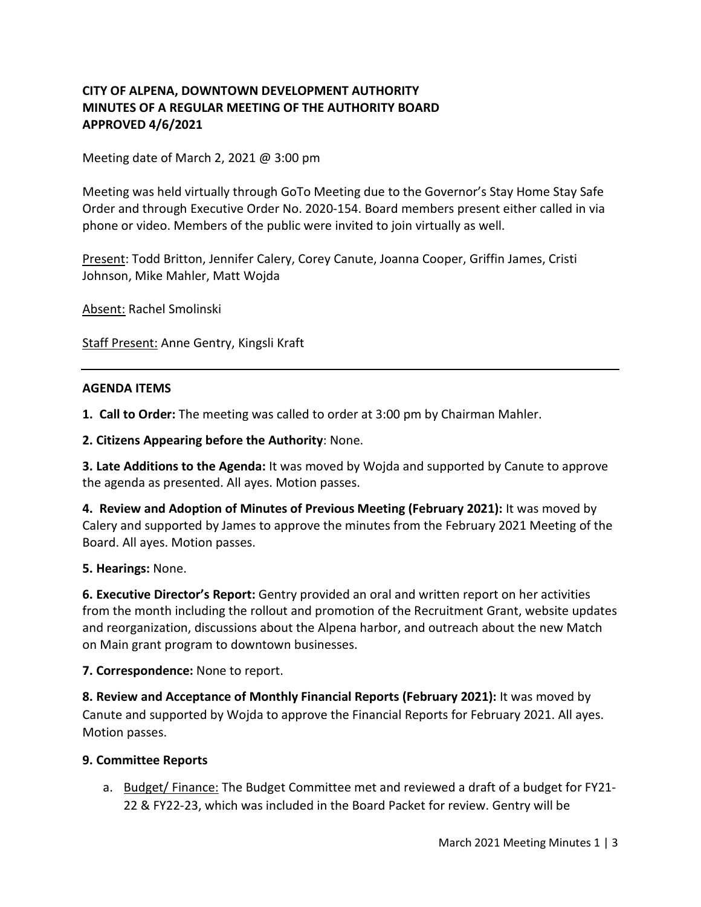## **CITY OF ALPENA, DOWNTOWN DEVELOPMENT AUTHORITY MINUTES OF A REGULAR MEETING OF THE AUTHORITY BOARD APPROVED 4/6/2021**

Meeting date of March 2, 2021 @ 3:00 pm

Meeting was held virtually through GoTo Meeting due to the Governor's Stay Home Stay Safe Order and through Executive Order No. 2020-154. Board members present either called in via phone or video. Members of the public were invited to join virtually as well.

Present: Todd Britton, Jennifer Calery, Corey Canute, Joanna Cooper, Griffin James, Cristi Johnson, Mike Mahler, Matt Wojda

Absent: Rachel Smolinski

Staff Present: Anne Gentry, Kingsli Kraft

#### **AGENDA ITEMS**

**1. Call to Order:** The meeting was called to order at 3:00 pm by Chairman Mahler.

**2. Citizens Appearing before the Authority**: None.

**3. Late Additions to the Agenda:** It was moved by Wojda and supported by Canute to approve the agenda as presented. All ayes. Motion passes.

**4. Review and Adoption of Minutes of Previous Meeting (February 2021):** It was moved by Calery and supported by James to approve the minutes from the February 2021 Meeting of the Board. All ayes. Motion passes.

**5. Hearings:** None.

**6. Executive Director's Report:** Gentry provided an oral and written report on her activities from the month including the rollout and promotion of the Recruitment Grant, website updates and reorganization, discussions about the Alpena harbor, and outreach about the new Match on Main grant program to downtown businesses.

**7. Correspondence:** None to report.

**8. Review and Acceptance of Monthly Financial Reports (February 2021):** It was moved by Canute and supported by Wojda to approve the Financial Reports for February 2021. All ayes. Motion passes.

#### **9. Committee Reports**

a. Budget/ Finance: The Budget Committee met and reviewed a draft of a budget for FY21-22 & FY22-23, which was included in the Board Packet for review. Gentry will be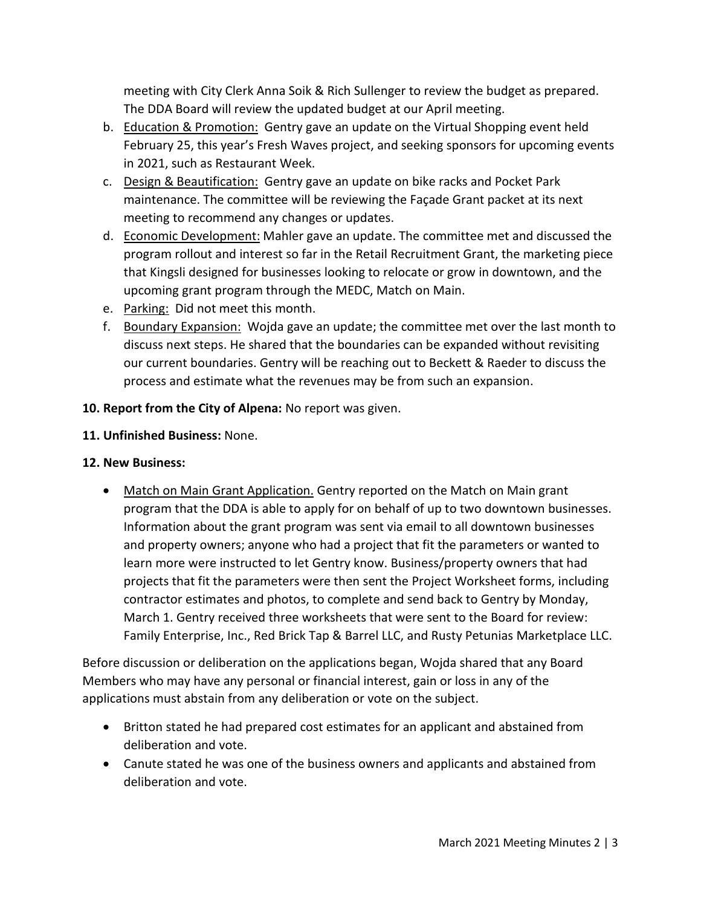meeting with City Clerk Anna Soik & Rich Sullenger to review the budget as prepared. The DDA Board will review the updated budget at our April meeting.

- b. Education & Promotion: Gentry gave an update on the Virtual Shopping event held February 25, this year's Fresh Waves project, and seeking sponsors for upcoming events in 2021, such as Restaurant Week.
- c. Design & Beautification: Gentry gave an update on bike racks and Pocket Park maintenance. The committee will be reviewing the Façade Grant packet at its next meeting to recommend any changes or updates.
- d. Economic Development: Mahler gave an update. The committee met and discussed the program rollout and interest so far in the Retail Recruitment Grant, the marketing piece that Kingsli designed for businesses looking to relocate or grow in downtown, and the upcoming grant program through the MEDC, Match on Main.
- e. Parking: Did not meet this month.
- f. Boundary Expansion: Wojda gave an update; the committee met over the last month to discuss next steps. He shared that the boundaries can be expanded without revisiting our current boundaries. Gentry will be reaching out to Beckett & Raeder to discuss the process and estimate what the revenues may be from such an expansion.

## **10. Report from the City of Alpena:** No report was given.

## **11. Unfinished Business:** None.

# **12. New Business:**

• Match on Main Grant Application. Gentry reported on the Match on Main grant program that the DDA is able to apply for on behalf of up to two downtown businesses. Information about the grant program was sent via email to all downtown businesses and property owners; anyone who had a project that fit the parameters or wanted to learn more were instructed to let Gentry know. Business/property owners that had projects that fit the parameters were then sent the Project Worksheet forms, including contractor estimates and photos, to complete and send back to Gentry by Monday, March 1. Gentry received three worksheets that were sent to the Board for review: Family Enterprise, Inc., Red Brick Tap & Barrel LLC, and Rusty Petunias Marketplace LLC.

Before discussion or deliberation on the applications began, Wojda shared that any Board Members who may have any personal or financial interest, gain or loss in any of the applications must abstain from any deliberation or vote on the subject.

- Britton stated he had prepared cost estimates for an applicant and abstained from deliberation and vote.
- Canute stated he was one of the business owners and applicants and abstained from deliberation and vote.